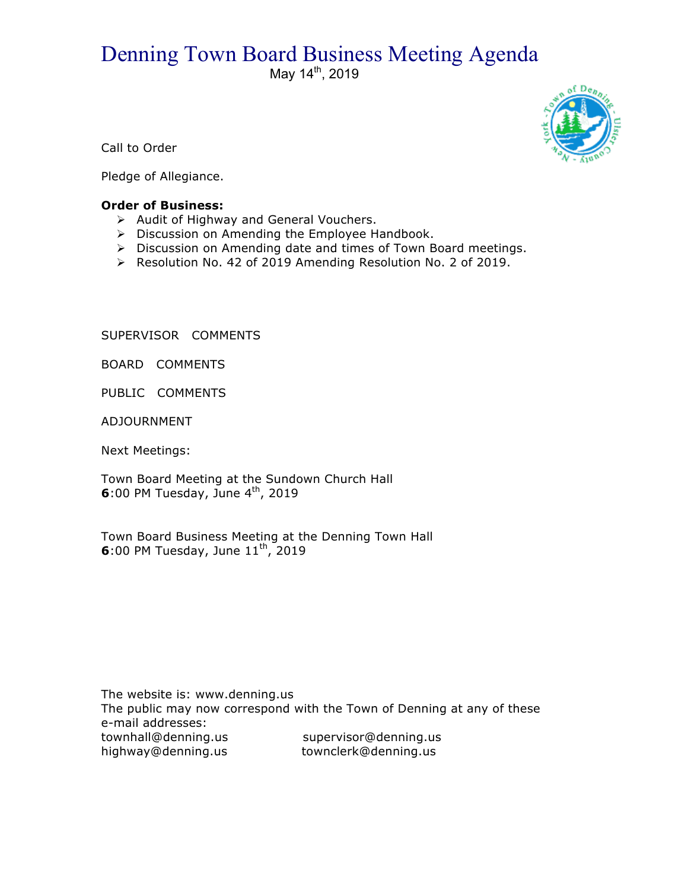# Denning Town Board Business Meeting Agenda

May 14<sup>th</sup>, 2019



Call to Order

Pledge of Allegiance.

## **Order of Business:**

- $\triangleright$  Audit of Highway and General Vouchers.
- $\triangleright$  Discussion on Amending the Employee Handbook.
- $\triangleright$  Discussion on Amending date and times of Town Board meetings.
- ! Resolution No. 42 of 2019 Amending Resolution No. 2 of 2019.

SUPERVISOR COMMENTS

BOARD COMMENTS

PUBLIC COMMENTS

ADJOURNMENT

Next Meetings:

Town Board Meeting at the Sundown Church Hall **6**:00 PM Tuesday, June 4<sup>th</sup>, 2019

Town Board Business Meeting at the Denning Town Hall **6**:00 PM Tuesday, June  $11^{th}$ , 2019

The website is: www.denning.us The public may now correspond with the Town of Denning at any of these e-mail addresses: townhall@denning.us supervisor@denning.us highway@denning.us townclerk@denning.us